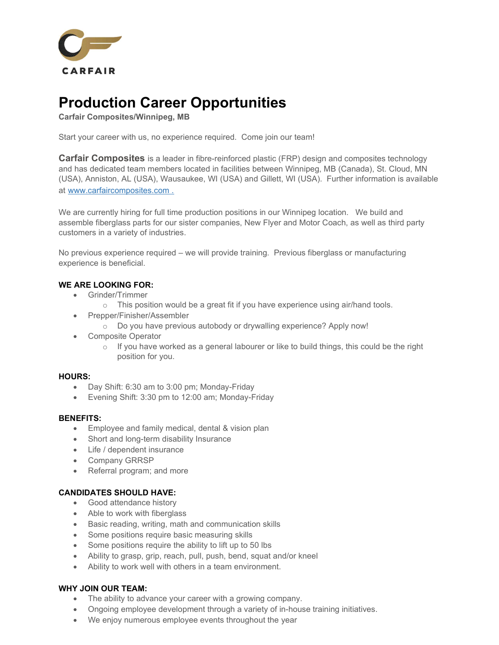

# Production Career Opportunities

Carfair Composites/Winnipeg, MB

Start your career with us, no experience required. Come join our team!

**Carfair Composites** is a leader in fibre-reinforced plastic (FRP) design and composites technology and has dedicated team members located in facilities between Winnipeg, MB (Canada), St. Cloud, MN (USA), Anniston, AL (USA), Wausaukee, WI (USA) and Gillett, WI (USA). Further information is available at www.carfaircomposites.com .

We are currently hiring for full time production positions in our Winnipeg location. We build and assemble fiberglass parts for our sister companies, New Flyer and Motor Coach, as well as third party customers in a variety of industries.

No previous experience required – we will provide training. Previous fiberglass or manufacturing experience is beneficial.

## WE ARE LOOKING FOR:

- Grinder/Trimmer
	- o This position would be a great fit if you have experience using air/hand tools.
- Prepper/Finisher/Assembler
	- o Do you have previous autobody or drywalling experience? Apply now!
- Composite Operator
	- $\circ$  If you have worked as a general labourer or like to build things, this could be the right position for you.

## HOURS:

- Day Shift: 6:30 am to 3:00 pm; Monday-Friday
- Evening Shift: 3:30 pm to 12:00 am; Monday-Friday

#### BENEFITS:

- **Employee and family medical, dental & vision plan**
- Short and long-term disability Insurance
- Life / dependent insurance
- Company GRRSP
- Referral program; and more

## CANDIDATES SHOULD HAVE:

- Good attendance history
- Able to work with fiberglass
- **•** Basic reading, writing, math and communication skills
- Some positions require basic measuring skills
- Some positions require the ability to lift up to 50 lbs
- Ability to grasp, grip, reach, pull, push, bend, squat and/or kneel
- Ability to work well with others in a team environment.

## WHY JOIN OUR TEAM:

- The ability to advance your career with a growing company.
- Ongoing employee development through a variety of in-house training initiatives.
- We enjoy numerous employee events throughout the year